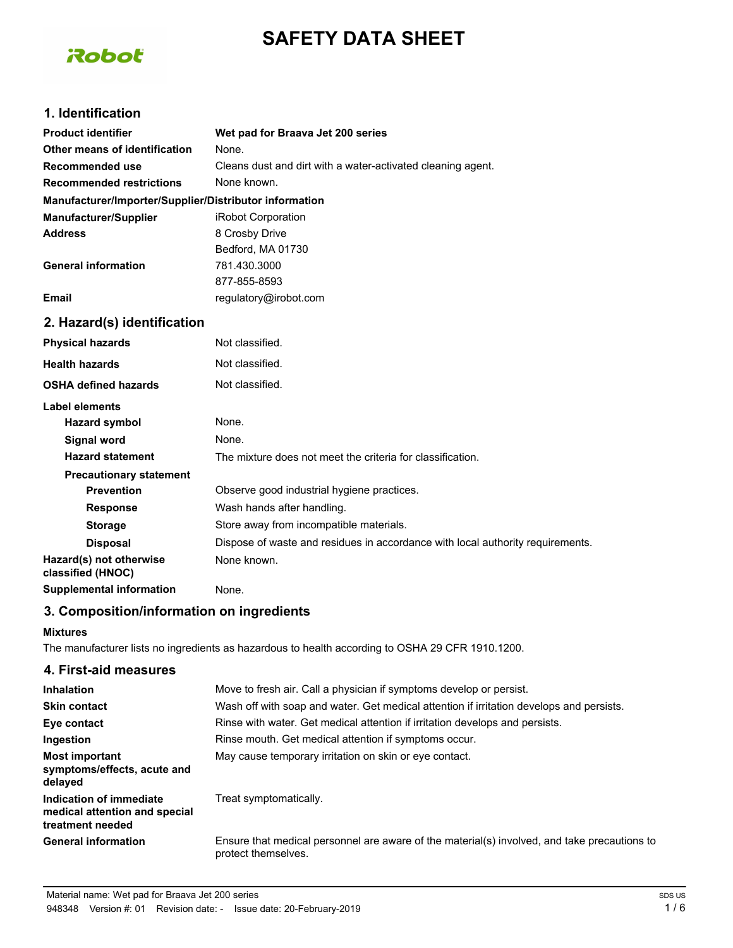# **SAFETY DATA SHEET**



# **1. Identification**

| <b>Product identifier</b>                              | Wet pad for Braava Jet 200 series                                              |
|--------------------------------------------------------|--------------------------------------------------------------------------------|
| Other means of identification                          | None.                                                                          |
| Recommended use                                        | Cleans dust and dirt with a water-activated cleaning agent.                    |
| <b>Recommended restrictions</b>                        | None known.                                                                    |
| Manufacturer/Importer/Supplier/Distributor information |                                                                                |
| <b>Manufacturer/Supplier</b>                           | iRobot Corporation                                                             |
| <b>Address</b>                                         | 8 Crosby Drive                                                                 |
|                                                        | Bedford, MA 01730                                                              |
| <b>General information</b>                             | 781.430.3000                                                                   |
|                                                        | 877-855-8593                                                                   |
| <b>Email</b>                                           | regulatory@irobot.com                                                          |
| 2. Hazard(s) identification                            |                                                                                |
| <b>Physical hazards</b>                                | Not classified.                                                                |
| <b>Health hazards</b>                                  | Not classified.                                                                |
| <b>OSHA defined hazards</b>                            | Not classified.                                                                |
| <b>Label elements</b>                                  |                                                                                |
| <b>Hazard symbol</b>                                   | None.                                                                          |
| Signal word                                            | None.                                                                          |
| <b>Hazard statement</b>                                | The mixture does not meet the criteria for classification.                     |
| <b>Precautionary statement</b>                         |                                                                                |
| <b>Prevention</b>                                      | Observe good industrial hygiene practices.                                     |
| <b>Response</b>                                        | Wash hands after handling.                                                     |
| <b>Storage</b>                                         | Store away from incompatible materials.                                        |
| <b>Disposal</b>                                        | Dispose of waste and residues in accordance with local authority requirements. |
| Hazard(s) not otherwise<br>classified (HNOC)           | None known.                                                                    |
| <b>Supplemental information</b>                        | None.                                                                          |

#### **3. Composition/information on ingredients**

#### **Mixtures**

The manufacturer lists no ingredients as hazardous to health according to OSHA 29 CFR 1910.1200.

| 4. First-aid measures                                                        |                                                                                                                     |
|------------------------------------------------------------------------------|---------------------------------------------------------------------------------------------------------------------|
| <b>Inhalation</b>                                                            | Move to fresh air. Call a physician if symptoms develop or persist.                                                 |
| <b>Skin contact</b>                                                          | Wash off with soap and water. Get medical attention if irritation develops and persists.                            |
| Eye contact                                                                  | Rinse with water. Get medical attention if irritation develops and persists.                                        |
| Ingestion                                                                    | Rinse mouth. Get medical attention if symptoms occur.                                                               |
| Most important<br>symptoms/effects, acute and<br>delayed                     | May cause temporary irritation on skin or eye contact.                                                              |
| Indication of immediate<br>medical attention and special<br>treatment needed | Treat symptomatically.                                                                                              |
| <b>General information</b>                                                   | Ensure that medical personnel are aware of the material(s) involved, and take precautions to<br>protect themselves. |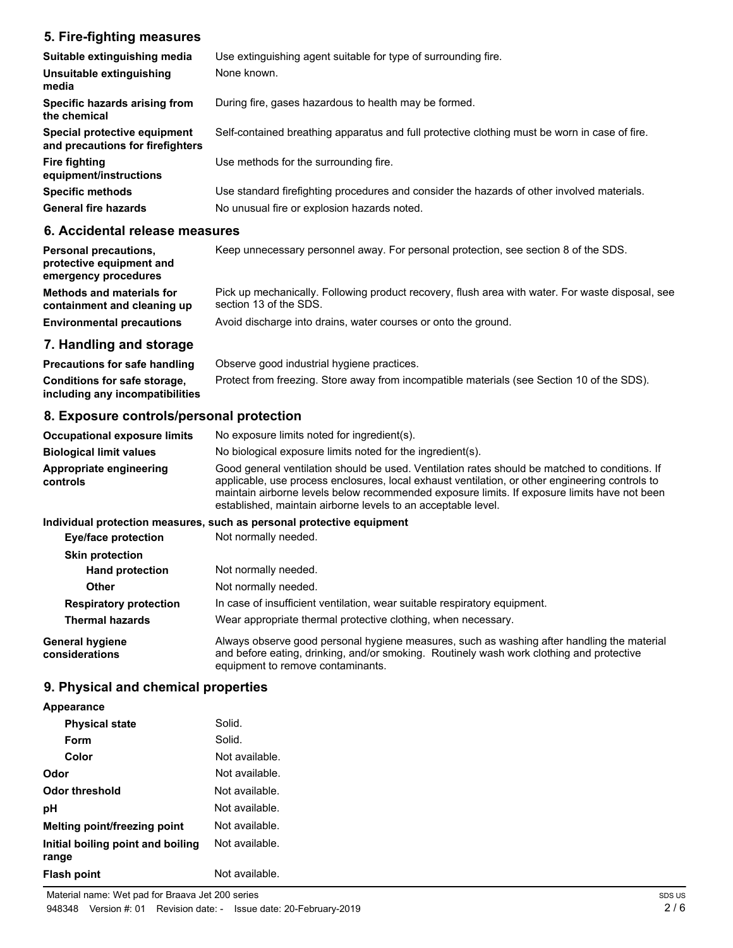# **5. Fire-fighting measures**

| Suitable extinguishing media<br>Unsuitable extinguishing<br>media | Use extinguishing agent suitable for type of surrounding fire.<br>None known.                 |
|-------------------------------------------------------------------|-----------------------------------------------------------------------------------------------|
| Specific hazards arising from<br>the chemical                     | During fire, gases hazardous to health may be formed.                                         |
| Special protective equipment<br>and precautions for firefighters  | Self-contained breathing apparatus and full protective clothing must be worn in case of fire. |
| Fire fighting<br>equipment/instructions                           | Use methods for the surrounding fire.                                                         |
| <b>Specific methods</b>                                           | Use standard firefighting procedures and consider the hazards of other involved materials.    |
| <b>General fire hazards</b>                                       | No unusual fire or explosion hazards noted.                                                   |

## **6. Accidental release measures**

| <b>Personal precautions,</b><br>protective equipment and<br>emergency procedures | Keep unnecessary personnel away. For personal protection, see section 8 of the SDS.                                        |
|----------------------------------------------------------------------------------|----------------------------------------------------------------------------------------------------------------------------|
| <b>Methods and materials for</b><br>containment and cleaning up                  | Pick up mechanically. Following product recovery, flush area with water. For waste disposal, see<br>section 13 of the SDS. |
| <b>Environmental precautions</b>                                                 | Avoid discharge into drains, water courses or onto the ground.                                                             |

### **7. Handling and storage**

**Precautions for safe handling** Observe good industrial hygiene practices. **Conditions for safe storage,** Protect from freezing. Store away from incompatible materials (see Section 10 of the SDS). **including any incompatibilities**

# **8. Exposure controls/personal protection**

| <b>Occupational exposure limits</b> | No exposure limits noted for ingredient(s).                                                                                                                                                                                                                                                                                                                        |
|-------------------------------------|--------------------------------------------------------------------------------------------------------------------------------------------------------------------------------------------------------------------------------------------------------------------------------------------------------------------------------------------------------------------|
| <b>Biological limit values</b>      | No biological exposure limits noted for the ingredient(s).                                                                                                                                                                                                                                                                                                         |
| Appropriate engineering<br>controls | Good general ventilation should be used. Ventilation rates should be matched to conditions. If<br>applicable, use process enclosures, local exhaust ventilation, or other engineering controls to<br>maintain airborne levels below recommended exposure limits. If exposure limits have not been<br>established, maintain airborne levels to an acceptable level. |
|                                     |                                                                                                                                                                                                                                                                                                                                                                    |

#### **Individual protection measures, such as personal protective equipment**

| <b>Eye/face protection</b>        | Not normally needed.                                                                                                                                                                                                        |
|-----------------------------------|-----------------------------------------------------------------------------------------------------------------------------------------------------------------------------------------------------------------------------|
| <b>Skin protection</b>            |                                                                                                                                                                                                                             |
| <b>Hand protection</b>            | Not normally needed.                                                                                                                                                                                                        |
| Other                             | Not normally needed.                                                                                                                                                                                                        |
| <b>Respiratory protection</b>     | In case of insufficient ventilation, wear suitable respiratory equipment.                                                                                                                                                   |
| <b>Thermal hazards</b>            | Wear appropriate thermal protective clothing, when necessary.                                                                                                                                                               |
| General hygiene<br>considerations | Always observe good personal hygiene measures, such as washing after handling the material<br>and before eating, drinking, and/or smoking. Routinely wash work clothing and protective<br>equipment to remove contaminants. |

# **9. Physical and chemical properties**

**Flash point** Not available.

| Solid.         |
|----------------|
| Solid.         |
| Not available. |
| Not available. |
| Not available. |
| Not available. |
| Not available. |
|                |

**Initial boiling point and boiling**

**range**

Not available.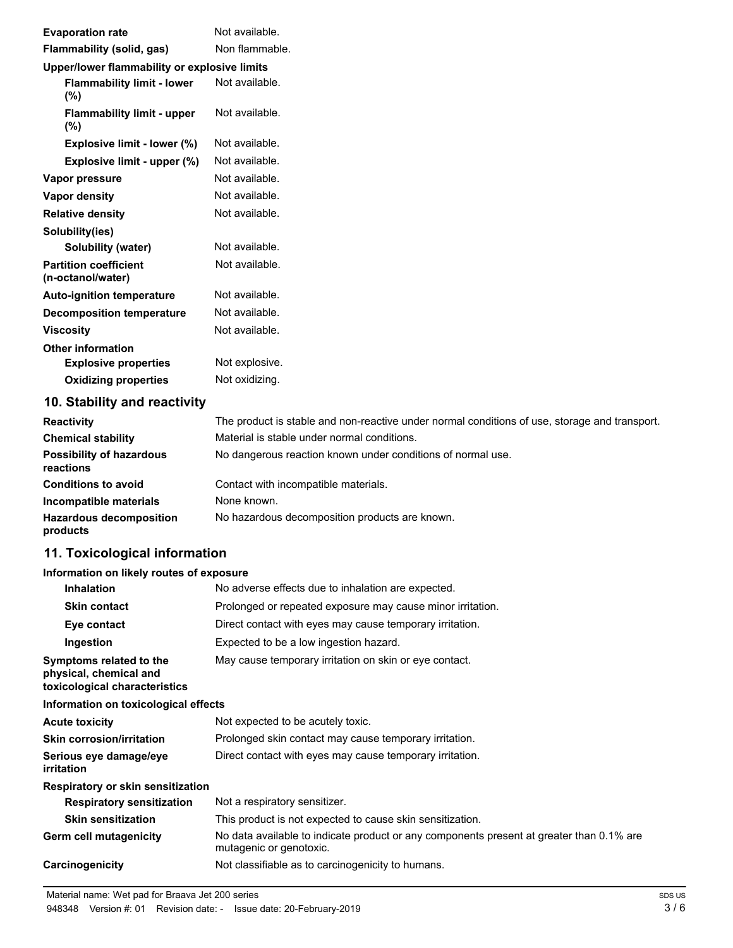| <b>Evaporation rate</b>                                                                                                                                                                                                                                                                                                  | Not available. |
|--------------------------------------------------------------------------------------------------------------------------------------------------------------------------------------------------------------------------------------------------------------------------------------------------------------------------|----------------|
| Flammability (solid, gas)                                                                                                                                                                                                                                                                                                | Non flammable. |
| Upper/lower flammability or explosive limits                                                                                                                                                                                                                                                                             |                |
| <b>Flammability limit - lower</b><br>(%)                                                                                                                                                                                                                                                                                 | Not available. |
| <b>Flammability limit - upper</b><br>$(\%)$                                                                                                                                                                                                                                                                              | Not available. |
| Explosive limit - lower (%)                                                                                                                                                                                                                                                                                              | Not available. |
| Explosive limit - upper (%)                                                                                                                                                                                                                                                                                              | Not available. |
| Vapor pressure                                                                                                                                                                                                                                                                                                           | Not available. |
| Vapor density                                                                                                                                                                                                                                                                                                            | Not available. |
| <b>Relative density</b>                                                                                                                                                                                                                                                                                                  | Not available. |
| Solubility(ies)                                                                                                                                                                                                                                                                                                          |                |
| Solubility (water)                                                                                                                                                                                                                                                                                                       | Not available. |
| <b>Partition coefficient</b><br>(n-octanol/water)                                                                                                                                                                                                                                                                        | Not available. |
| <b>Auto-ignition temperature</b>                                                                                                                                                                                                                                                                                         | Not available. |
| <b>Decomposition temperature</b>                                                                                                                                                                                                                                                                                         | Not available. |
| <b>Viscosity</b>                                                                                                                                                                                                                                                                                                         | Not available. |
| <b>Other information</b>                                                                                                                                                                                                                                                                                                 |                |
| <b>Explosive properties</b>                                                                                                                                                                                                                                                                                              | Not explosive. |
| <b>Oxidizing properties</b>                                                                                                                                                                                                                                                                                              | Not oxidizing. |
| $\overline{AB}$ $\overline{BA}$ and $\overline{BA}$ are also associated to $\overline{AB}$ and $\overline{AB}$ are associated to $\overline{AB}$ and $\overline{BA}$ are associated to $\overline{AB}$ and $\overline{BA}$ are all $\overline{AB}$ and $\overline{BA}$ are all $\overline{AB}$ and $\overline{BA}$ are a |                |

## **10. Stability and reactivity**

| <b>Reactivity</b>                            | The product is stable and non-reactive under normal conditions of use, storage and transport. |
|----------------------------------------------|-----------------------------------------------------------------------------------------------|
| <b>Chemical stability</b>                    | Material is stable under normal conditions.                                                   |
| <b>Possibility of hazardous</b><br>reactions | No dangerous reaction known under conditions of normal use.                                   |
| <b>Conditions to avoid</b>                   | Contact with incompatible materials.                                                          |
| Incompatible materials                       | None known.                                                                                   |
| <b>Hazardous decomposition</b><br>products   | No hazardous decomposition products are known.                                                |

# **11. Toxicological information**

#### **Information on likely routes of exposure**

| <b>Inhalation</b>                                                                  | No adverse effects due to inhalation are expected.                                                                  |  |  |
|------------------------------------------------------------------------------------|---------------------------------------------------------------------------------------------------------------------|--|--|
| <b>Skin contact</b>                                                                | Prolonged or repeated exposure may cause minor irritation.                                                          |  |  |
| Eye contact                                                                        | Direct contact with eyes may cause temporary irritation.                                                            |  |  |
| Ingestion                                                                          | Expected to be a low ingestion hazard.                                                                              |  |  |
| Symptoms related to the<br>physical, chemical and<br>toxicological characteristics | May cause temporary irritation on skin or eye contact.                                                              |  |  |
| Information on toxicological effects                                               |                                                                                                                     |  |  |
| <b>Acute toxicity</b>                                                              | Not expected to be acutely toxic.                                                                                   |  |  |
| <b>Skin corrosion/irritation</b>                                                   | Prolonged skin contact may cause temporary irritation.                                                              |  |  |
| Serious eye damage/eye<br>irritation                                               | Direct contact with eyes may cause temporary irritation.                                                            |  |  |
| Respiratory or skin sensitization                                                  |                                                                                                                     |  |  |
| <b>Respiratory sensitization</b>                                                   | Not a respiratory sensitizer.                                                                                       |  |  |
| <b>Skin sensitization</b>                                                          | This product is not expected to cause skin sensitization.                                                           |  |  |
| <b>Germ cell mutagenicity</b>                                                      | No data available to indicate product or any components present at greater than 0.1% are<br>mutagenic or genotoxic. |  |  |
| Carcinogenicity                                                                    | Not classifiable as to carcinogenicity to humans.                                                                   |  |  |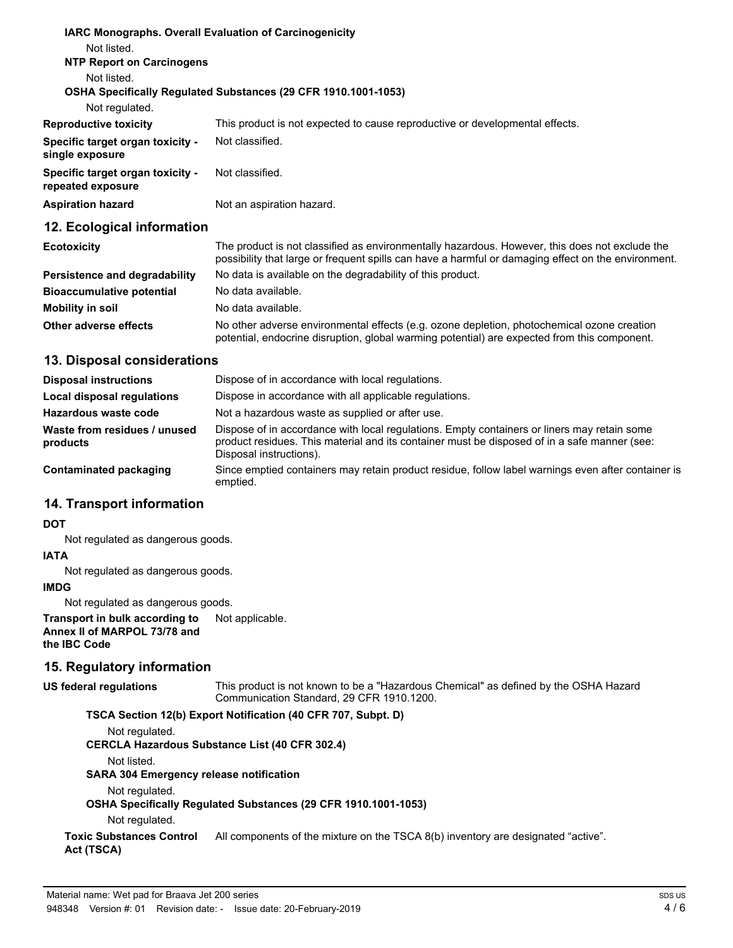|                                                       | <b>IARC Monographs. Overall Evaluation of Carcinogenicity</b>                                                                                                                                         |
|-------------------------------------------------------|-------------------------------------------------------------------------------------------------------------------------------------------------------------------------------------------------------|
| Not listed.                                           |                                                                                                                                                                                                       |
| <b>NTP Report on Carcinogens</b>                      |                                                                                                                                                                                                       |
| Not listed.                                           |                                                                                                                                                                                                       |
|                                                       | <b>OSHA Specifically Requiated Substances (29 CFR 1910.1001-1053)</b>                                                                                                                                 |
| Not regulated.                                        |                                                                                                                                                                                                       |
| <b>Reproductive toxicity</b>                          | This product is not expected to cause reproductive or developmental effects.                                                                                                                          |
| Specific target organ toxicity -<br>single exposure   | Not classified.                                                                                                                                                                                       |
| Specific target organ toxicity -<br>repeated exposure | Not classified.                                                                                                                                                                                       |
| <b>Aspiration hazard</b>                              | Not an aspiration hazard.                                                                                                                                                                             |
| 12. Ecological information                            |                                                                                                                                                                                                       |
| <b>Ecotoxicity</b>                                    | The product is not classified as environmentally hazardous. However, this does not exclude the<br>possibility that large or frequent spills can have a harmful or damaging effect on the environment. |

|                                  | poconomy that harge or mogaem opine can nave a namnar or admaging once, on the christman,                                                                                                  |  |
|----------------------------------|--------------------------------------------------------------------------------------------------------------------------------------------------------------------------------------------|--|
| Persistence and degradability    | No data is available on the degradability of this product.                                                                                                                                 |  |
| <b>Bioaccumulative potential</b> | No data available.                                                                                                                                                                         |  |
| Mobility in soil                 | No data available.                                                                                                                                                                         |  |
| Other adverse effects            | No other adverse environmental effects (e.g. ozone depletion, photochemical ozone creation<br>potential, endocrine disruption, global warming potential) are expected from this component. |  |

#### **13. Disposal considerations**

| <b>Disposal instructions</b>             | Dispose of in accordance with local regulations.                                                                                                                                                                       |  |
|------------------------------------------|------------------------------------------------------------------------------------------------------------------------------------------------------------------------------------------------------------------------|--|
| Local disposal regulations               | Dispose in accordance with all applicable regulations.                                                                                                                                                                 |  |
| Hazardous waste code                     | Not a hazardous waste as supplied or after use.                                                                                                                                                                        |  |
| Waste from residues / unused<br>products | Dispose of in accordance with local regulations. Empty containers or liners may retain some<br>product residues. This material and its container must be disposed of in a safe manner (see:<br>Disposal instructions). |  |
| Contaminated packaging                   | Since emptied containers may retain product residue, follow label warnings even after container is<br>emptied.                                                                                                         |  |

### **14. Transport information**

#### **DOT**

Not regulated as dangerous goods.

#### **IATA**

Not regulated as dangerous goods.

# **IMDG**

Not regulated as dangerous goods.

**Transport in bulk according to** Not applicable. **Annex II of MARPOL 73/78 and the IBC Code**

### **15. Regulatory information**

This product is not known to be a "Hazardous Chemical" as defined by the OSHA Hazard Communication Standard, 29 CFR 1910.1200. **US federal regulations**

**TSCA Section 12(b) Export Notification (40 CFR 707, Subpt. D)**

Not regulated. **CERCLA Hazardous Substance List (40 CFR 302.4)**

Not listed.

**SARA 304 Emergency release notification**

Not regulated.

**OSHA Specifically Regulated Substances (29 CFR 1910.1001-1053)**

Not regulated.

**Toxic Substances Control** All components of the mixture on the TSCA 8(b) inventory are designated "active". **Act (TSCA)**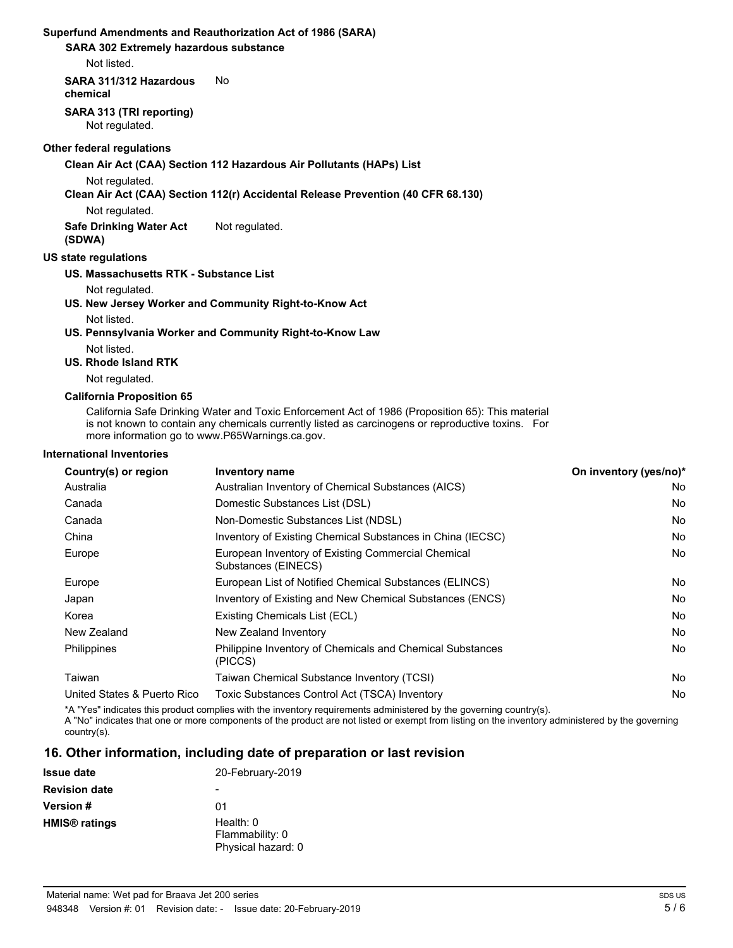#### **Superfund Amendments and Reauthorization Act of 1986 (SARA)**

**SARA 302 Extremely hazardous substance**

Not listed.

**SARA 311/312 Hazardous** No **chemical**

# **SARA 313 (TRI reporting)**

Not regulated.

#### **Other federal regulations**

**Clean Air Act (CAA) Section 112 Hazardous Air Pollutants (HAPs) List**

Not regulated.

#### **Clean Air Act (CAA) Section 112(r) Accidental Release Prevention (40 CFR 68.130)**

Not regulated.

**Safe Drinking Water Act** Not regulated.

**(SDWA)**

#### **US state regulations**

**US. Massachusetts RTK - Substance List**

Not regulated.

**US. New Jersey Worker and Community Right-to-Know Act** Not listed.

**US. Pennsylvania Worker and Community Right-to-Know Law**

Not listed.

#### **US. Rhode Island RTK**

Not regulated.

#### **California Proposition 65**

California Safe Drinking Water and Toxic Enforcement Act of 1986 (Proposition 65): This material is not known to contain any chemicals currently listed as carcinogens or reproductive toxins. For more information go to www.P65Warnings.ca.gov.

#### **International Inventories**

| Country(s) or region        | Inventory name                                                            | On inventory (yes/no)* |
|-----------------------------|---------------------------------------------------------------------------|------------------------|
| Australia                   | Australian Inventory of Chemical Substances (AICS)                        | No                     |
| Canada                      | Domestic Substances List (DSL)                                            | No                     |
| Canada                      | Non-Domestic Substances List (NDSL)                                       | No                     |
| China                       | Inventory of Existing Chemical Substances in China (IECSC)                | No                     |
| Europe                      | European Inventory of Existing Commercial Chemical<br>Substances (EINECS) | No                     |
| Europe                      | European List of Notified Chemical Substances (ELINCS)                    | No                     |
| Japan                       | Inventory of Existing and New Chemical Substances (ENCS)                  | No                     |
| Korea                       | Existing Chemicals List (ECL)                                             | No                     |
| New Zealand                 | New Zealand Inventory                                                     | No                     |
| Philippines                 | Philippine Inventory of Chemicals and Chemical Substances<br>(PICCS)      | No                     |
| Taiwan                      | Taiwan Chemical Substance Inventory (TCSI)                                | No                     |
| United States & Puerto Rico | Toxic Substances Control Act (TSCA) Inventory                             | No                     |

\*A "Yes" indicates this product complies with the inventory requirements administered by the governing country(s).

A "No" indicates that one or more components of the product are not listed or exempt from listing on the inventory administered by the governing country(s).

# **16. Other information, including date of preparation or last revision**

| <b>Issue date</b>               | 20-February-2019                                     |
|---------------------------------|------------------------------------------------------|
| <b>Revision date</b>            |                                                      |
| <b>Version #</b>                | 01                                                   |
| <b>HMIS<sup>®</sup></b> ratings | Health: $0$<br>Flammability: 0<br>Physical hazard: 0 |